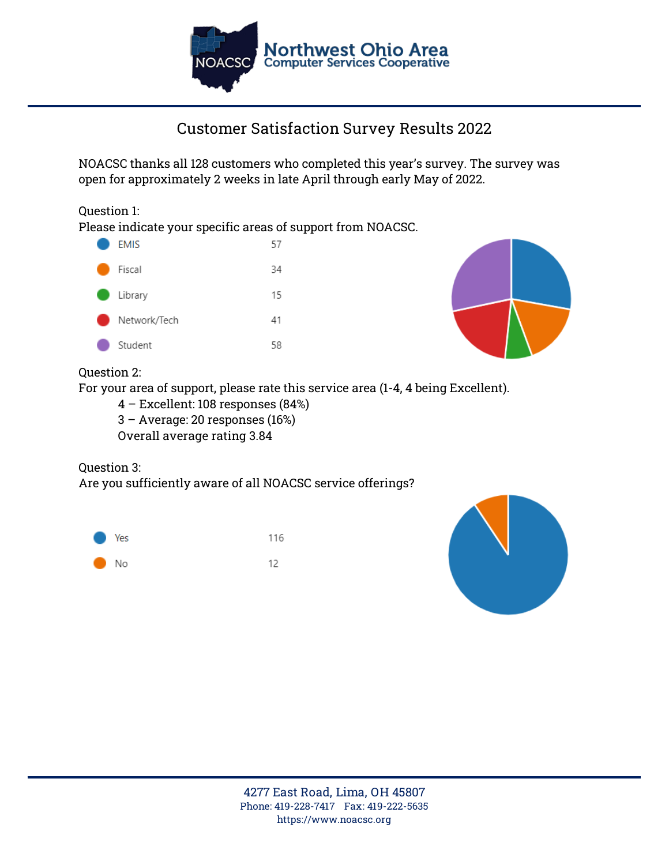

# **Customer Satisfaction Survey Results 2022**

NOACSC thanks all 128 customers who completed this year's survey. The survey was open for approximately 2 weeks in late April through early May of 2022.

#### Question 1:

Please indicate your specific areas of support from NOACSC.

| <b>EMIS</b>  | 57 |
|--------------|----|
| Fiscal       | 34 |
| Library      | 15 |
| Network/Tech | 41 |
| Student      | 58 |



## Question 2:

For your area of support, please rate this service area (1-4, 4 being Excellent).

- 4 Excellent: 108 responses (84%)
- 3 Average: 20 responses (16%)

**Overall average rating 3.84**

#### Question 3:

Are you sufficiently aware of all NOACSC service offerings?



116 12



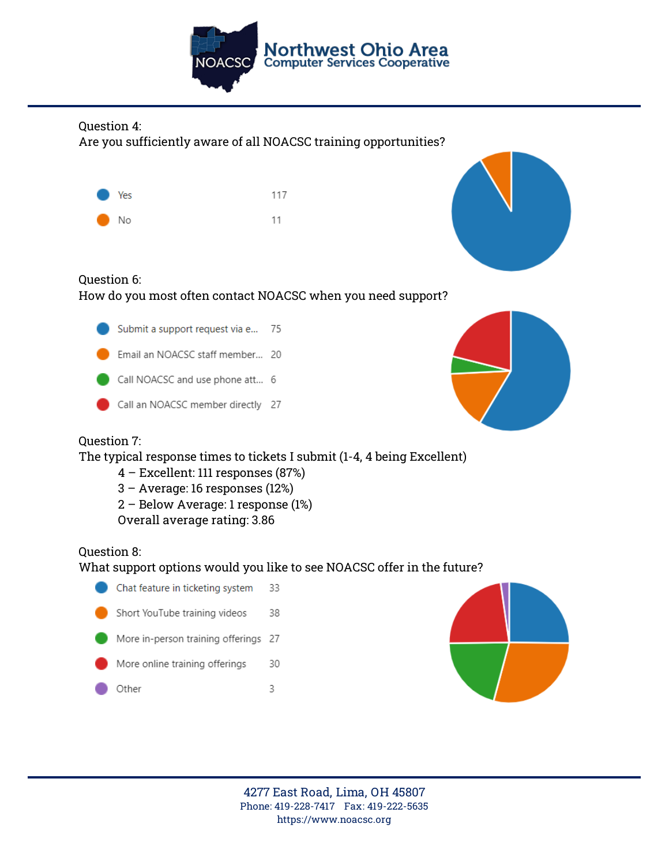

### Question 4:

Are you sufficiently aware of all NOACSC training opportunities?



117 11



## Question 6: How do you most often contact NOACSC when you need support?

- Submit a support request via e... 75
- Email an NOACSC staff member... 20
- Call NOACSC and use phone att... 6
- Call an NOACSC member directly 27



## Question 7:

The typical response times to tickets I submit (1-4, 4 being Excellent)

- 4 Excellent: 111 responses (87%)
- 3 Average: 16 responses (12%)
- 2 Below Average: 1 response (1%)
- **Overall average rating: 3.86**

## Question 8:

## What support options would you like to see NOACSC offer in the future?

Chat feature in ticketing system 33 Short YouTube training videos 38 More in-person training offerings 27 More online training offerings 30 Other 3